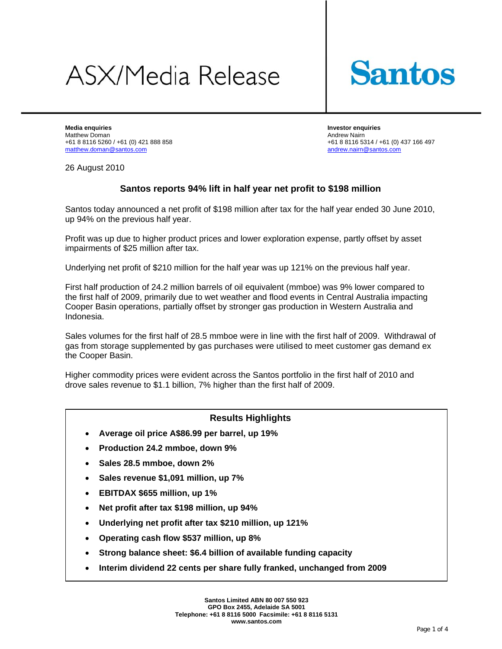# **ASX/Media Release**



**Media enquiries Investor enquiries**  Matthew Doman Andrew Nairn +61 8 8116 5260 / +61 (0) 421 888 858 +61 88116 5314 / +61 (0) 437 166 497 matthew.doman@santos.com andrew.nairn@santos.com

26 August 2010

# **Santos reports 94% lift in half year net profit to \$198 million**

Santos today announced a net profit of \$198 million after tax for the half year ended 30 June 2010, up 94% on the previous half year.

Profit was up due to higher product prices and lower exploration expense, partly offset by asset impairments of \$25 million after tax.

Underlying net profit of \$210 million for the half year was up 121% on the previous half year.

First half production of 24.2 million barrels of oil equivalent (mmboe) was 9% lower compared to the first half of 2009, primarily due to wet weather and flood events in Central Australia impacting Cooper Basin operations, partially offset by stronger gas production in Western Australia and Indonesia.

Sales volumes for the first half of 28.5 mmboe were in line with the first half of 2009. Withdrawal of gas from storage supplemented by gas purchases were utilised to meet customer gas demand ex the Cooper Basin.

Higher commodity prices were evident across the Santos portfolio in the first half of 2010 and drove sales revenue to \$1.1 billion, 7% higher than the first half of 2009.

# **Results Highlights**

- **Average oil price A\$86.99 per barrel, up 19%**
- **Production 24.2 mmboe, down 9%**
- **Sales 28.5 mmboe, down 2%**
- **Sales revenue \$1,091 million, up 7%**
- **EBITDAX \$655 million, up 1%**
- **Net profit after tax \$198 million, up 94%**
- **Underlying net profit after tax \$210 million, up 121%**
- **Operating cash flow \$537 million, up 8%**
- **Strong balance sheet: \$6.4 billion of available funding capacity**
- **Interim dividend 22 cents per share fully franked, unchanged from 2009**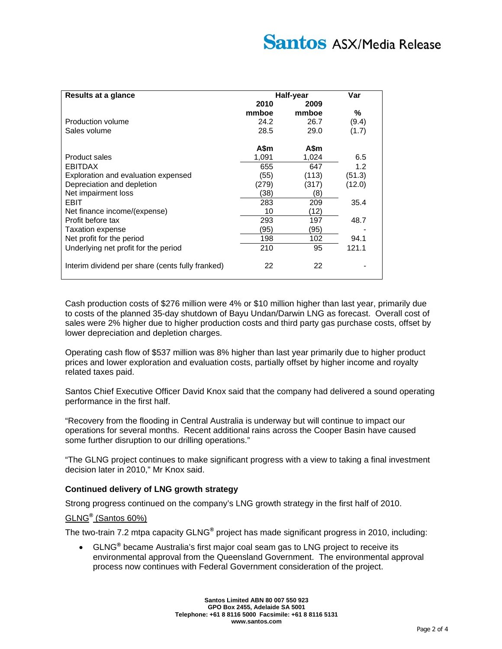| Results at a glance                              | Half-year |       | Var    |
|--------------------------------------------------|-----------|-------|--------|
|                                                  | 2010      | 2009  |        |
|                                                  | mmboe     | mmboe | %      |
| Production volume                                | 24.2      | 26.7  | (9.4)  |
| Sales volume                                     | 28.5      | 29.0  | (1.7)  |
|                                                  | A\$m      | A\$m  |        |
| Product sales                                    | 1.091     | 1,024 | 6.5    |
| EBITDAX                                          | 655       | 647   | 1.2    |
| Exploration and evaluation expensed              | (55)      | (113) | (51.3) |
| Depreciation and depletion                       | (279)     | (317) | (12.0) |
| Net impairment loss                              | (38)      | (8)   |        |
| EBIT                                             | 283       | 209   | 35.4   |
| Net finance income/(expense)                     | 10        | (12)  |        |
| Profit before tax                                | 293       | 197   | 48.7   |
| <b>Taxation expense</b>                          | (95)      | (95)  |        |
| Net profit for the period                        | 198       | 102   | 94.1   |
| Underlying net profit for the period             | 210       | 95    | 121.1  |
| Interim dividend per share (cents fully franked) | 22        | 22    |        |

Cash production costs of \$276 million were 4% or \$10 million higher than last year, primarily due to costs of the planned 35-day shutdown of Bayu Undan/Darwin LNG as forecast. Overall cost of sales were 2% higher due to higher production costs and third party gas purchase costs, offset by lower depreciation and depletion charges.

Operating cash flow of \$537 million was 8% higher than last year primarily due to higher product prices and lower exploration and evaluation costs, partially offset by higher income and royalty related taxes paid.

Santos Chief Executive Officer David Knox said that the company had delivered a sound operating performance in the first half.

"Recovery from the flooding in Central Australia is underway but will continue to impact our operations for several months. Recent additional rains across the Cooper Basin have caused some further disruption to our drilling operations."

"The GLNG project continues to make significant progress with a view to taking a final investment decision later in 2010," Mr Knox said.

# **Continued delivery of LNG growth strategy**

Strong progress continued on the company's LNG growth strategy in the first half of 2010.

# GLNG**®** (Santos 60%)

The two-train 7.2 mtpa capacity GLNG**®** project has made significant progress in 2010, including:

 GLNG**®** became Australia's first major coal seam gas to LNG project to receive its environmental approval from the Queensland Government. The environmental approval process now continues with Federal Government consideration of the project.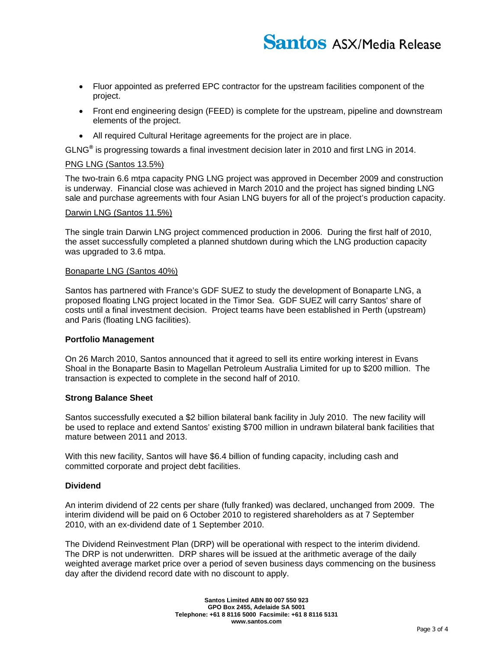- Fluor appointed as preferred EPC contractor for the upstream facilities component of the project.
- Front end engineering design (FEED) is complete for the upstream, pipeline and downstream elements of the project.
- All required Cultural Heritage agreements for the project are in place.

GLNG**®** is progressing towards a final investment decision later in 2010 and first LNG in 2014.

#### PNG LNG (Santos 13.5%)

The two-train 6.6 mtpa capacity PNG LNG project was approved in December 2009 and construction is underway. Financial close was achieved in March 2010 and the project has signed binding LNG sale and purchase agreements with four Asian LNG buyers for all of the project's production capacity.

#### Darwin LNG (Santos 11.5%)

The single train Darwin LNG project commenced production in 2006. During the first half of 2010, the asset successfully completed a planned shutdown during which the LNG production capacity was upgraded to 3.6 mtpa.

#### Bonaparte LNG (Santos 40%)

Santos has partnered with France's GDF SUEZ to study the development of Bonaparte LNG, a proposed floating LNG project located in the Timor Sea. GDF SUEZ will carry Santos' share of costs until a final investment decision. Project teams have been established in Perth (upstream) and Paris (floating LNG facilities).

## **Portfolio Management**

On 26 March 2010, Santos announced that it agreed to sell its entire working interest in Evans Shoal in the Bonaparte Basin to Magellan Petroleum Australia Limited for up to \$200 million. The transaction is expected to complete in the second half of 2010.

## **Strong Balance Sheet**

Santos successfully executed a \$2 billion bilateral bank facility in July 2010. The new facility will be used to replace and extend Santos' existing \$700 million in undrawn bilateral bank facilities that mature between 2011 and 2013.

With this new facility, Santos will have \$6.4 billion of funding capacity, including cash and committed corporate and project debt facilities.

## **Dividend**

An interim dividend of 22 cents per share (fully franked) was declared, unchanged from 2009. The interim dividend will be paid on 6 October 2010 to registered shareholders as at 7 September 2010, with an ex-dividend date of 1 September 2010.

The Dividend Reinvestment Plan (DRP) will be operational with respect to the interim dividend. The DRP is not underwritten. DRP shares will be issued at the arithmetic average of the daily weighted average market price over a period of seven business days commencing on the business day after the dividend record date with no discount to apply.